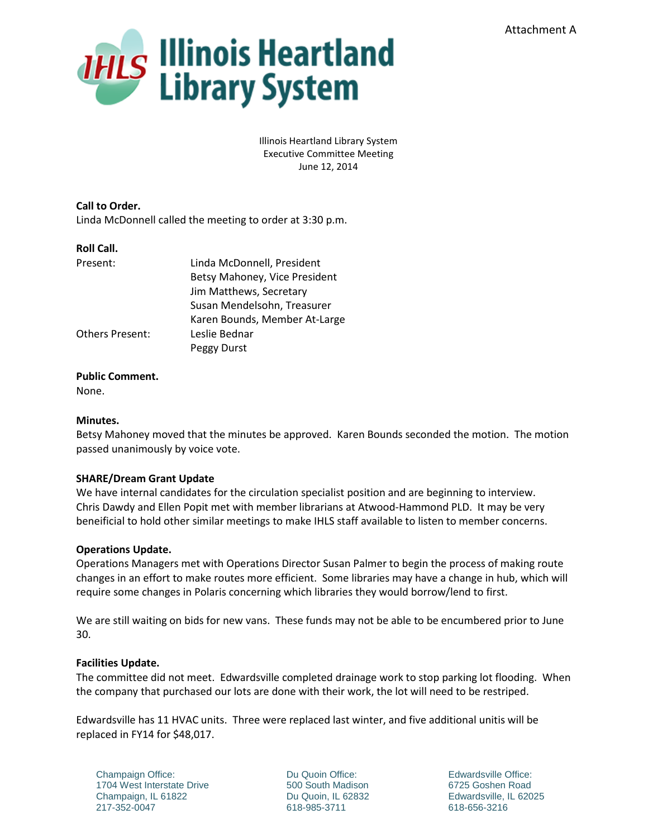

Illinois Heartland Library System Executive Committee Meeting June 12, 2014

**Call to Order.** Linda McDonnell called the meeting to order at 3:30 p.m.

## **Roll Call.**

| Present:               | Linda McDonnell, President    |
|------------------------|-------------------------------|
|                        | Betsy Mahoney, Vice President |
|                        | Jim Matthews, Secretary       |
|                        | Susan Mendelsohn, Treasurer   |
|                        | Karen Bounds, Member At-Large |
| <b>Others Present:</b> | Leslie Bednar                 |
|                        | Peggy Durst                   |

## **Public Comment.**

None.

## **Minutes.**

Betsy Mahoney moved that the minutes be approved. Karen Bounds seconded the motion. The motion passed unanimously by voice vote.

# **SHARE/Dream Grant Update**

We have internal candidates for the circulation specialist position and are beginning to interview. Chris Dawdy and Ellen Popit met with member librarians at Atwood-Hammond PLD. It may be very beneificial to hold other similar meetings to make IHLS staff available to listen to member concerns.

#### **Operations Update.**

Operations Managers met with Operations Director Susan Palmer to begin the process of making route changes in an effort to make routes more efficient. Some libraries may have a change in hub, which will require some changes in Polaris concerning which libraries they would borrow/lend to first.

We are still waiting on bids for new vans. These funds may not be able to be encumbered prior to June 30.

#### **Facilities Update.**

The committee did not meet. Edwardsville completed drainage work to stop parking lot flooding. When the company that purchased our lots are done with their work, the lot will need to be restriped.

Edwardsville has 11 HVAC units. Three were replaced last winter, and five additional unitis will be replaced in FY14 for \$48,017.

Champaign Office: 1704 West Interstate Drive Champaign, IL 61822 217-352-0047

Du Quoin Office: 500 South Madison Du Quoin, IL 62832 618-985-3711

Edwardsville Office: 6725 Goshen Road Edwardsville, IL 62025 618-656-3216